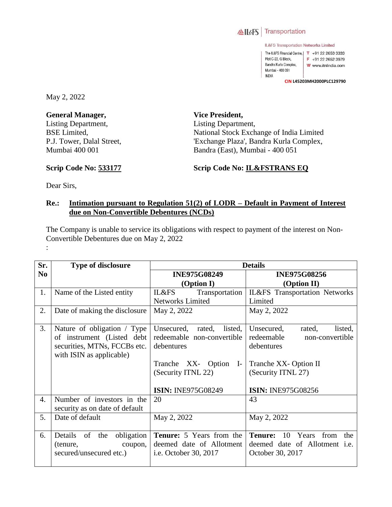

IL&FS Transportation Networks Limited

The IL&FS Financial Centre, | T +91 22 2653 3333 Plot C-22, G Block, F +91 22 2652 3979 Bandra Kurla Complex, W www.itnlindia.com Mumbai - 400 051 **INDIA** 

**CIN L45203MH2000PLC129790**

May 2, 2022

**General Manager,**  Listing Department, BSE Limited, P.J. Tower, Dalal Street, Mumbai 400 001

**Vice President,**  Listing Department, National Stock Exchange of India Limited 'Exchange Plaza', Bandra Kurla Complex, Bandra (East), Mumbai - 400 051

**Scrip Code No: 533177**

**Scrip Code No: IL&FSTRANS EQ**

Dear Sirs,

## **Re.: Intimation pursuant to Regulation 51(2) of LODR – Default in Payment of Interest due on Non-Convertible Debentures (NCDs)**

The Company is unable to service its obligations with respect to payment of the interest on Non-Convertible Debentures due on May 2, 2022 :

| Sr.              | <b>Type of disclosure</b>                                  | <b>Details</b>                           |                                             |  |
|------------------|------------------------------------------------------------|------------------------------------------|---------------------------------------------|--|
| N <sub>0</sub>   |                                                            | <b>INE975G08249</b>                      | <b>INE975G08256</b>                         |  |
|                  |                                                            | (Option I)                               | (Option II)                                 |  |
| 1.               | Name of the Listed entity                                  | Transportation<br>IL&FS                  | IL&FS Transportation Networks               |  |
|                  |                                                            | <b>Networks Limited</b>                  | Limited                                     |  |
| 2.               | Date of making the disclosure                              | May 2, 2022                              | May 2, 2022                                 |  |
|                  |                                                            |                                          |                                             |  |
| 3.               | Nature of obligation / Type                                | Unsecured,<br>listed,<br>rated,          | Unsecured,<br>listed,<br>rated,             |  |
|                  | of instrument (Listed debt<br>securities, MTNs, FCCBs etc. | redeemable non-convertible<br>debentures | redeemable<br>non-convertible<br>debentures |  |
|                  | with ISIN as applicable)                                   |                                          |                                             |  |
|                  |                                                            | Tranche XX- Option<br>$\mathbf{I}$       | Tranche XX-Option II                        |  |
|                  |                                                            | (Security ITNL 22)                       | (Security ITNL 27)                          |  |
|                  |                                                            |                                          |                                             |  |
|                  |                                                            | <b>ISIN: INE975G08249</b>                | <b>ISIN: INE975G08256</b>                   |  |
| $\overline{4}$ . | Number of investors in the                                 | 20                                       | 43                                          |  |
|                  | security as on date of default                             |                                          |                                             |  |
| 5.               | Date of default                                            | May 2, 2022                              | May 2, 2022                                 |  |
|                  |                                                            |                                          |                                             |  |
| 6.               | obligation<br>Details<br>the<br>of                         | <b>Tenure:</b> 5 Years from the          | <b>Tenure:</b><br>Years from<br>10<br>the   |  |
|                  | (tenure,<br>coupon,                                        | deemed date of Allotment                 | deemed date of Allotment <i>i.e.</i>        |  |
|                  | secured/unsecured etc.)                                    | i.e. October 30, 2017                    | October 30, 2017                            |  |
|                  |                                                            |                                          |                                             |  |